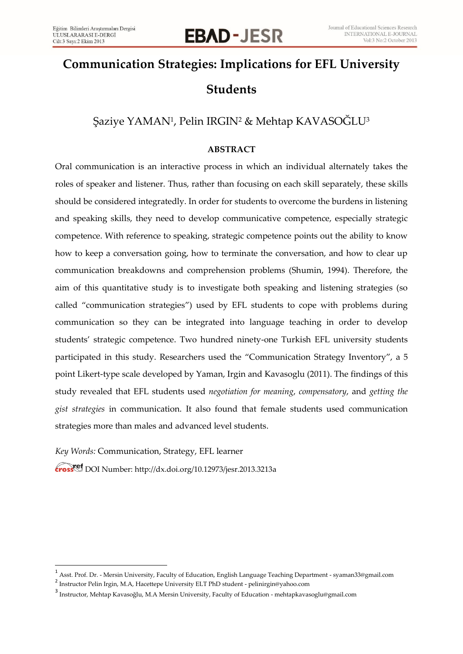# **EBAD-JESR**

## **Communication Strategies: Implications for EFL University Students**

### Şaziye YAMAN<sup>1</sup>, Pelin IRGIN<del>'</del> & Mehtap KAVASOGLU<sup>3</sup>

#### **ABSTRACT**

Oral communication is an interactive process in which an individual alternately takes the roles of speaker and listener. Thus, rather than focusing on each skill separately, these skills should be considered integratedly. In order for students to overcome the burdens in listening and speaking skills, they need to develop communicative competence, especially strategic competence. With reference to speaking, strategic competence points out the ability to know how to keep a conversation going, how to terminate the conversation, and how to clear up communication breakdowns and comprehension problems (Shumin, 1994). Therefore, the aim of this quantitative study is to investigate both speaking and listening strategies (so called "communication strategies") used by EFL students to cope with problems during communication so they can be integrated into language teaching in order to develop students' strategic competence. Two hundred ninety-one Turkish EFL university students participated in this study. Researchers used the "Communication Strategy Inventory", a 5 point Likert-type scale developed by Yaman, Irgin and Kavasoglu (2011). The findings of this study revealed that EFL students used *negotiation for meaning*, *compensatory*, and *getting the gist strategies* in communication. It also found that female students used communication strategies more than males and advanced level students.

*Key Words:* Communication, Strategy, EFL learner

l

DOI Number: http://dx.doi.org/10.12973/jesr.2013.3213a

<sup>1</sup> Asst. Prof. Dr. - Mersin University, Faculty of Education, English Language Teaching Department - syaman33@gmail.com

<sup>2</sup> Instructor Pelin Irgin, M.A, Hacettepe University ELT PhD student - pelinirgin@yahoo.com

<sup>&</sup>lt;sup>3</sup> Instructor, Mehtap Kavasoğlu, M.A Mersin University, Faculty of Education - mehtapkavasoglu@gmail.com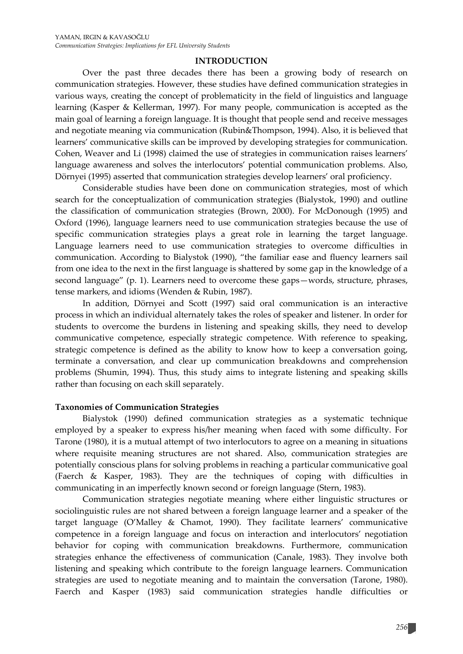#### **INTRODUCTION**

Over the past three decades there has been a growing body of research on communication strategies. However, these studies have defined communication strategies in various ways, creating the concept of problematicity in the field of linguistics and language learning (Kasper & Kellerman, 1997). For many people, communication is accepted as the main goal of learning a foreign language. It is thought that people send and receive messages and negotiate meaning via communication (Rubin&Thompson, 1994). Also, it is believed that learners' communicative skills can be improved by developing strategies for communication. Cohen, Weaver and Li (1998) claimed the use of strategies in communication raises learners' language awareness and solves the interlocutors' potential communication problems. Also, Dörnyei (1995) asserted that communication strategies develop learners' oral proficiency.

Considerable studies have been done on communication strategies, most of which search for the conceptualization of communication strategies (Bialystok, 1990) and outline the classification of communication strategies (Brown, 2000). For McDonough (1995) and Oxford (1996), language learners need to use communication strategies because the use of specific communication strategies plays a great role in learning the target language. Language learners need to use communication strategies to overcome difficulties in communication. According to Bialystok (1990), "the familiar ease and fluency learners sail from one idea to the next in the first language is shattered by some gap in the knowledge of a second language" (p. 1). Learners need to overcome these gaps—words, structure, phrases, tense markers, and idioms (Wenden & Rubin, 1987).

In addition, Dörnyei and Scott (1997) said oral communication is an interactive process in which an individual alternately takes the roles of speaker and listener. In order for students to overcome the burdens in listening and speaking skills, they need to develop communicative competence, especially strategic competence. With reference to speaking, strategic competence is defined as the ability to know how to keep a conversation going, terminate a conversation, and clear up communication breakdowns and comprehension problems (Shumin, 1994). Thus, this study aims to integrate listening and speaking skills rather than focusing on each skill separately.

#### **Taxonomies of Communication Strategies**

Bialystok (1990) defined communication strategies as a systematic technique employed by a speaker to express his/her meaning when faced with some difficulty. For Tarone (1980), it is a mutual attempt of two interlocutors to agree on a meaning in situations where requisite meaning structures are not shared. Also, communication strategies are potentially conscious plans for solving problems in reaching a particular communicative goal (Faerch & Kasper, 1983). They are the techniques of coping with difficulties in communicating in an imperfectly known second or foreign language (Stern, 1983).

Communication strategies negotiate meaning where either linguistic structures or sociolinguistic rules are not shared between a foreign language learner and a speaker of the target language (O'Malley & Chamot, 1990). They facilitate learners' communicative competence in a foreign language and focus on interaction and interlocutors' negotiation behavior for coping with communication breakdowns. Furthermore, communication strategies enhance the effectiveness of communication (Canale, 1983). They involve both listening and speaking which contribute to the foreign language learners. Communication strategies are used to negotiate meaning and to maintain the conversation (Tarone, 1980). Faerch and Kasper (1983) said communication strategies handle difficulties or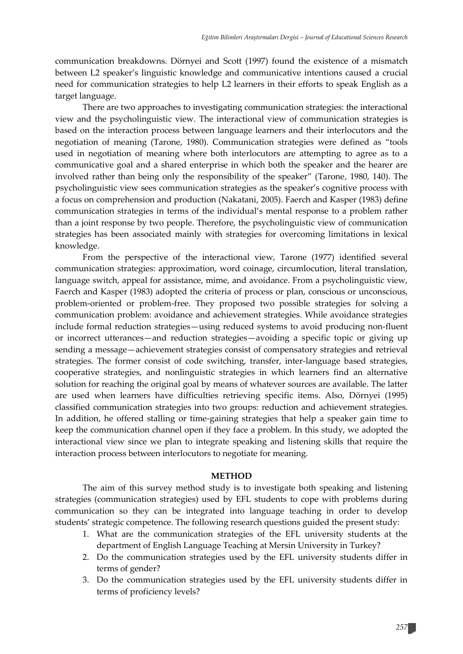communication breakdowns. Dörnyei and Scott (1997) found the existence of a mismatch between L2 speaker's linguistic knowledge and communicative intentions caused a crucial need for communication strategies to help L2 learners in their efforts to speak English as a target language.

There are two approaches to investigating communication strategies: the interactional view and the psycholinguistic view. The interactional view of communication strategies is based on the interaction process between language learners and their interlocutors and the negotiation of meaning (Tarone, 1980). Communication strategies were defined as "tools used in negotiation of meaning where both interlocutors are attempting to agree as to a communicative goal and a shared enterprise in which both the speaker and the hearer are involved rather than being only the responsibility of the speaker" (Tarone, 1980, 140). The psycholinguistic view sees communication strategies as the speaker's cognitive process with a focus on comprehension and production (Nakatani, 2005). Faerch and Kasper (1983) define communication strategies in terms of the individual's mental response to a problem rather than a joint response by two people. Therefore, the psycholinguistic view of communication strategies has been associated mainly with strategies for overcoming limitations in lexical knowledge.

From the perspective of the interactional view, Tarone (1977) identified several communication strategies: approximation, word coinage, circumlocution, literal translation, language switch, appeal for assistance, mime, and avoidance. From a psycholinguistic view, Faerch and Kasper (1983) adopted the criteria of process or plan, conscious or unconscious, problem-oriented or problem-free. They proposed two possible strategies for solving a communication problem: avoidance and achievement strategies. While avoidance strategies include formal reduction strategies—using reduced systems to avoid producing non-fluent or incorrect utterances—and reduction strategies—avoiding a specific topic or giving up sending a message—achievement strategies consist of compensatory strategies and retrieval strategies. The former consist of code switching, transfer, inter-language based strategies, cooperative strategies, and nonlinguistic strategies in which learners find an alternative solution for reaching the original goal by means of whatever sources are available. The latter are used when learners have difficulties retrieving specific items. Also, Dörnyei (1995) classified communication strategies into two groups: reduction and achievement strategies. In addition, he offered stalling or time-gaining strategies that help a speaker gain time to keep the communication channel open if they face a problem. In this study, we adopted the interactional view since we plan to integrate speaking and listening skills that require the interaction process between interlocutors to negotiate for meaning.

#### **METHOD**

The aim of this survey method study is to investigate both speaking and listening strategies (communication strategies) used by EFL students to cope with problems during communication so they can be integrated into language teaching in order to develop students' strategic competence. The following research questions guided the present study:

- 1. What are the communication strategies of the EFL university students at the department of English Language Teaching at Mersin University in Turkey?
- 2. Do the communication strategies used by the EFL university students differ in terms of gender?
- 3. Do the communication strategies used by the EFL university students differ in terms of proficiency levels?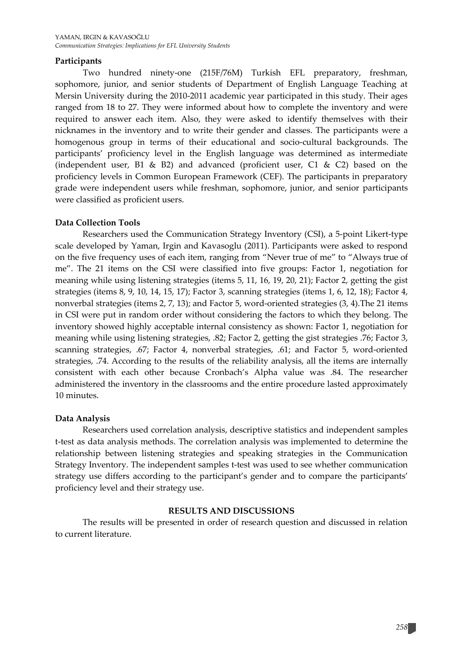#### **Participants**

Two hundred ninety-one (215F/76M) Turkish EFL preparatory, freshman, sophomore, junior, and senior students of Department of English Language Teaching at Mersin University during the 2010-2011 academic year participated in this study. Their ages ranged from 18 to 27. They were informed about how to complete the inventory and were required to answer each item. Also, they were asked to identify themselves with their nicknames in the inventory and to write their gender and classes. The participants were a homogenous group in terms of their educational and socio-cultural backgrounds. The participants' proficiency level in the English language was determined as intermediate (independent user, B1 & B2) and advanced (proficient user, C1 & C2) based on the proficiency levels in Common European Framework (CEF). The participants in preparatory grade were independent users while freshman, sophomore, junior, and senior participants were classified as proficient users.

#### **Data Collection Tools**

Researchers used the Communication Strategy Inventory (CSI), a 5-point Likert-type scale developed by Yaman, Irgin and Kavasoglu (2011). Participants were asked to respond on the five frequency uses of each item, ranging from "Never true of me" to "Always true of me". The 21 items on the CSI were classified into five groups: Factor 1, negotiation for meaning while using listening strategies (items 5, 11, 16, 19, 20, 21); Factor 2, getting the gist strategies (items 8, 9, 10, 14, 15, 17); Factor 3, scanning strategies (items 1, 6, 12, 18); Factor 4, nonverbal strategies (items 2, 7, 13); and Factor 5, word-oriented strategies (3, 4).The 21 items in CSI were put in random order without considering the factors to which they belong. The inventory showed highly acceptable internal consistency as shown: Factor 1, negotiation for meaning while using listening strategies, .82; Factor 2, getting the gist strategies .76; Factor 3, scanning strategies, .67; Factor 4, nonverbal strategies, .61; and Factor 5, word-oriented strategies, .74. According to the results of the reliability analysis, all the items are internally consistent with each other because Cronbach's Alpha value was .84. The researcher administered the inventory in the classrooms and the entire procedure lasted approximately 10 minutes.

#### **Data Analysis**

Researchers used correlation analysis, descriptive statistics and independent samples t-test as data analysis methods. The correlation analysis was implemented to determine the relationship between listening strategies and speaking strategies in the Communication Strategy Inventory. The independent samples t-test was used to see whether communication strategy use differs according to the participant's gender and to compare the participants' proficiency level and their strategy use.

#### **RESULTS AND DISCUSSIONS**

The results will be presented in order of research question and discussed in relation to current literature.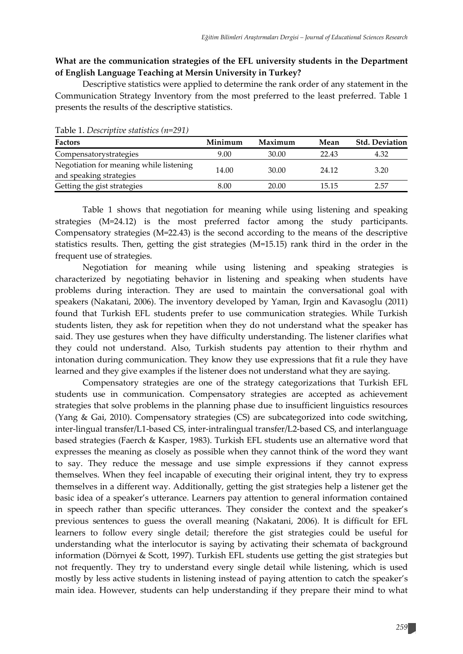#### **What are the communication strategies of the EFL university students in the Department of English Language Teaching at Mersin University in Turkey?**

Descriptive statistics were applied to determine the rank order of any statement in the Communication Strategy Inventory from the most preferred to the least preferred. Table 1 presents the results of the descriptive statistics.

| <b>Factors</b>                          | Minimum | Maximum | Mean  | <b>Std. Deviation</b> |  |  |  |  |
|-----------------------------------------|---------|---------|-------|-----------------------|--|--|--|--|
| Compensatorystrategies                  | 9.00    | 30.00   | 22.43 | 4.32                  |  |  |  |  |
| Negotiation for meaning while listening | 14.00   | 30.00   | 24.12 | 3.20                  |  |  |  |  |
| and speaking strategies                 |         |         |       |                       |  |  |  |  |
| Getting the gist strategies             | 8.00    | 20.00   | 15.15 | 2.57                  |  |  |  |  |

Table 1. *Descriptive statistics (n=291)*

Table 1 shows that negotiation for meaning while using listening and speaking strategies (M=24.12) is the most preferred factor among the study participants. Compensatory strategies (M=22.43) is the second according to the means of the descriptive statistics results. Then, getting the gist strategies (M=15.15) rank third in the order in the frequent use of strategies.

Negotiation for meaning while using listening and speaking strategies is characterized by negotiating behavior in listening and speaking when students have problems during interaction. They are used to maintain the conversational goal with speakers (Nakatani, 2006). The inventory developed by Yaman, Irgin and Kavasoglu (2011) found that Turkish EFL students prefer to use communication strategies. While Turkish students listen, they ask for repetition when they do not understand what the speaker has said. They use gestures when they have difficulty understanding. The listener clarifies what they could not understand. Also, Turkish students pay attention to their rhythm and intonation during communication. They know they use expressions that fit a rule they have learned and they give examples if the listener does not understand what they are saying.

Compensatory strategies are one of the strategy categorizations that Turkish EFL students use in communication. Compensatory strategies are accepted as achievement strategies that solve problems in the planning phase due to insufficient linguistics resources (Yang & Gai, 2010). Compensatory strategies (CS) are subcategorized into code switching, inter-lingual transfer/L1-based CS, inter-intralingual transfer/L2-based CS, and interlanguage based strategies (Faerch & Kasper, 1983). Turkish EFL students use an alternative word that expresses the meaning as closely as possible when they cannot think of the word they want to say. They reduce the message and use simple expressions if they cannot express themselves. When they feel incapable of executing their original intent, they try to express themselves in a different way. Additionally, getting the gist strategies help a listener get the basic idea of a speaker's utterance. Learners pay attention to general information contained in speech rather than specific utterances. They consider the context and the speaker's previous sentences to guess the overall meaning (Nakatani, 2006). It is difficult for EFL learners to follow every single detail; therefore the gist strategies could be useful for understanding what the interlocutor is saying by activating their schemata of background information (Dörnyei & Scott, 1997). Turkish EFL students use getting the gist strategies but not frequently. They try to understand every single detail while listening, which is used mostly by less active students in listening instead of paying attention to catch the speaker's main idea. However, students can help understanding if they prepare their mind to what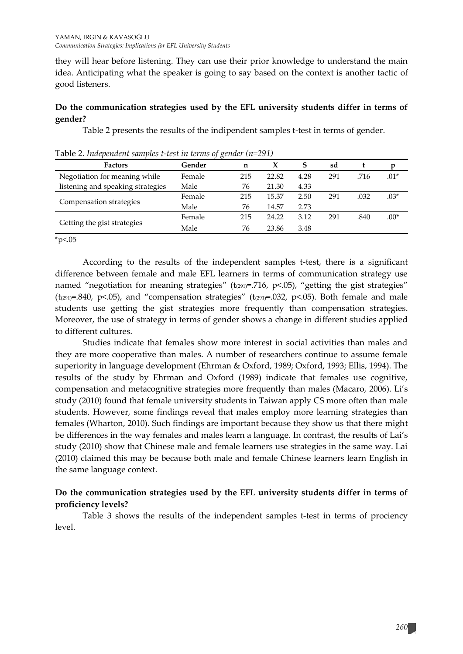they will hear before listening. They can use their prior knowledge to understand the main idea. Anticipating what the speaker is going to say based on the context is another tactic of good listeners.

#### **Do the communication strategies used by the EFL university students differ in terms of gender?**

Table 2 presents the results of the indipendent samples t-test in terms of gender.

|                                   | $\rightarrow$ |     |       |      |     |      |        |
|-----------------------------------|---------------|-----|-------|------|-----|------|--------|
| <b>Factors</b>                    | Gender        | n   |       | S    | sd  |      |        |
| Negotiation for meaning while     | Female        | 215 | 22.82 | 4.28 | 291 | .716 | $.01*$ |
| listening and speaking strategies | Male          | 76  | 21.30 | 4.33 |     |      |        |
| Compensation strategies           | Female        | 215 | 15.37 | 2.50 | 291 | .032 | $.03*$ |
|                                   | Male          | 76  | 14.57 | 2.73 |     |      |        |
| Getting the gist strategies       | Female        | 215 | 24.22 | 3.12 | 291 | .840 | $.00*$ |
|                                   | Male          | 76  | 23.86 | 3.48 |     |      |        |

Table 2. *Independent samples t-test in terms of gender (n=291)*

 $*<sub>p</sub><05$ 

According to the results of the independent samples t-test, there is a significant difference between female and male EFL learners in terms of communication strategy use named "negotiation for meaning strategies" ( $t_{(291)}$ =.716, p<.05), "getting the gist strategies" ( $t_{(291)}=0.840$ ,  $p<.05$ ), and "compensation strategies" ( $t_{(291)}=0.032$ ,  $p<.05$ ). Both female and male students use getting the gist strategies more frequently than compensation strategies. Moreover, the use of strategy in terms of gender shows a change in different studies applied to different cultures.

Studies indicate that females show more interest in social activities than males and they are more cooperative than males. A number of researchers continue to assume female superiority in language development (Ehrman & Oxford, 1989; Oxford, 1993; Ellis, 1994). The results of the study by Ehrman and Oxford (1989) indicate that females use cognitive, compensation and metacognitive strategies more frequently than males (Macaro, 2006). Li's study (2010) found that female university students in Taiwan apply CS more often than male students. However, some findings reveal that males employ more learning strategies than females (Wharton, 2010). Such findings are important because they show us that there might be differences in the way females and males learn a language. In contrast, the results of Lai's study (2010) show that Chinese male and female learners use strategies in the same way. Lai (2010) claimed this may be because both male and female Chinese learners learn English in the same language context.

#### **Do the communication strategies used by the EFL university students differ in terms of proficiency levels?**

Table 3 shows the results of the independent samples t-test in terms of prociency level.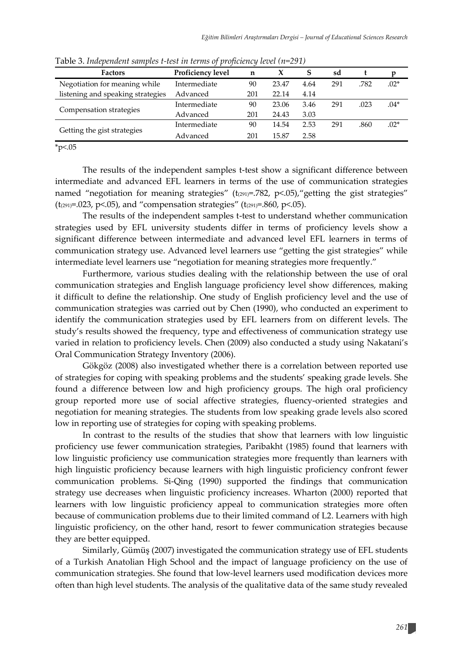| <b>Factors</b>                    | Proficiency level | n   | X     | S    | sd  |      | D      |
|-----------------------------------|-------------------|-----|-------|------|-----|------|--------|
| Negotiation for meaning while     | Intermediate      | 90  | 23.47 | 4.64 | 291 | .782 | $.02*$ |
| listening and speaking strategies | Advanced          | 201 | 22.14 | 4.14 |     |      |        |
| Compensation strategies           | Intermediate      | 90  | 23.06 | 3.46 | 291 | .023 | $.04*$ |
|                                   | Advanced          | 201 | 24.43 | 3.03 |     |      |        |
| Getting the gist strategies       | Intermediate      | 90  | 14.54 | 2.53 | 291 | .860 | $.02*$ |
|                                   | Advanced          | 201 | 15.87 | 2.58 |     |      |        |

Table 3. *Independent samples t-test in terms of proficiency level (n=291)*

 $*p<.05$ 

The results of the independent samples t-test show a significant difference between intermediate and advanced EFL learners in terms of the use of communication strategies named "negotiation for meaning strategies" ( $t_{(291)}$ =.782, p<.05), "getting the gist strategies" (t<sub>(291)</sub>=.023, p<.05), and "compensation strategies" (t<sub>(291)</sub>=.860, p<.05).

The results of the independent samples t-test to understand whether communication strategies used by EFL university students differ in terms of proficiency levels show a significant difference between intermediate and advanced level EFL learners in terms of communication strategy use. Advanced level learners use "getting the gist strategies" while intermediate level learners use "negotiation for meaning strategies more frequently."

Furthermore, various studies dealing with the relationship between the use of oral communication strategies and English language proficiency level show differences, making it difficult to define the relationship. One study of English proficiency level and the use of communication strategies was carried out by Chen (1990), who conducted an experiment to identify the communication strategies used by EFL learners from on different levels. The study's results showed the frequency, type and effectiveness of communication strategy use varied in relation to proficiency levels. Chen (2009) also conducted a study using Nakatani's Oral Communication Strategy Inventory (2006).

Gökgöz (2008) also investigated whether there is a correlation between reported use of strategies for coping with speaking problems and the students' speaking grade levels. She found a difference between low and high proficiency groups. The high oral proficiency group reported more use of social affective strategies, fluency-oriented strategies and negotiation for meaning strategies. The students from low speaking grade levels also scored low in reporting use of strategies for coping with speaking problems.

In contrast to the results of the studies that show that learners with low linguistic proficiency use fewer communication strategies, Paribakht (1985) found that learners with low linguistic proficiency use communication strategies more frequently than learners with high linguistic proficiency because learners with high linguistic proficiency confront fewer communication problems. Si-Qing (1990) supported the findings that communication strategy use decreases when linguistic proficiency increases. Wharton (2000) reported that learners with low linguistic proficiency appeal to communication strategies more often because of communication problems due to their limited command of L2. Learners with high linguistic proficiency, on the other hand, resort to fewer communication strategies because they are better equipped.

Similarly, Gümüş (2007) investigated the communication strategy use of EFL students of a Turkish Anatolian High School and the impact of language proficiency on the use of communication strategies. She found that low-level learners used modification devices more often than high level students. The analysis of the qualitative data of the same study revealed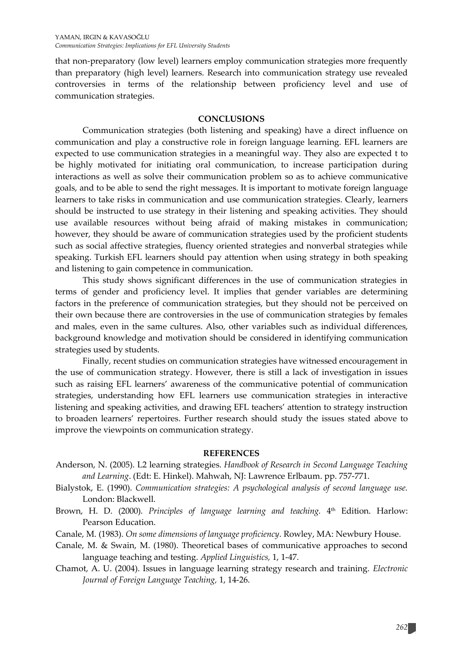that non-preparatory (low level) learners employ communication strategies more frequently than preparatory (high level) learners. Research into communication strategy use revealed controversies in terms of the relationship between proficiency level and use of communication strategies.

#### **CONCLUSIONS**

Communication strategies (both listening and speaking) have a direct influence on communication and play a constructive role in foreign language learning. EFL learners are expected to use communication strategies in a meaningful way. They also are expected t to be highly motivated for initiating oral communication, to increase participation during interactions as well as solve their communication problem so as to achieve communicative goals, and to be able to send the right messages. It is important to motivate foreign language learners to take risks in communication and use communication strategies. Clearly, learners should be instructed to use strategy in their listening and speaking activities. They should use available resources without being afraid of making mistakes in communication; however, they should be aware of communication strategies used by the proficient students such as social affective strategies, fluency oriented strategies and nonverbal strategies while speaking. Turkish EFL learners should pay attention when using strategy in both speaking and listening to gain competence in communication.

This study shows significant differences in the use of communication strategies in terms of gender and proficiency level. It implies that gender variables are determining factors in the preference of communication strategies, but they should not be perceived on their own because there are controversies in the use of communication strategies by females and males, even in the same cultures. Also, other variables such as individual differences, background knowledge and motivation should be considered in identifying communication strategies used by students.

Finally, recent studies on communication strategies have witnessed encouragement in the use of communication strategy. However, there is still a lack of investigation in issues such as raising EFL learners' awareness of the communicative potential of communication strategies, understanding how EFL learners use communication strategies in interactive listening and speaking activities, and drawing EFL teachers' attention to strategy instruction to broaden learners' repertoires. Further research should study the issues stated above to improve the viewpoints on communication strategy.

#### **REFERENCES**

- Anderson, N. (2005). L2 learning strategies. *Handbook of Research in Second Language Teaching and Learning*. (Edt: E. Hinkel). Mahwah, NJ: Lawrence Erlbaum. pp. 757-771.
- Bialystok, E. (1990). *Communication strategies: A psychological analysis of second language use.*  London: Blackwell.
- Brown, H. D. (2000). *Principles of language learning and teaching*. 4<sup>th</sup> Edition. Harlow: Pearson Education.
- Canale, M. (1983). *On some dimensions of language proficiency*. Rowley, MA: Newbury House.
- Canale, M. & Swain, M. (1980). Theoretical bases of communicative approaches to second language teaching and testing. *Applied Linguistics,* 1, 1-47.
- Chamot, A. U. (2004). Issues in language learning strategy research and training. *Electronic Journal of Foreign Language Teaching,* 1, 14-26.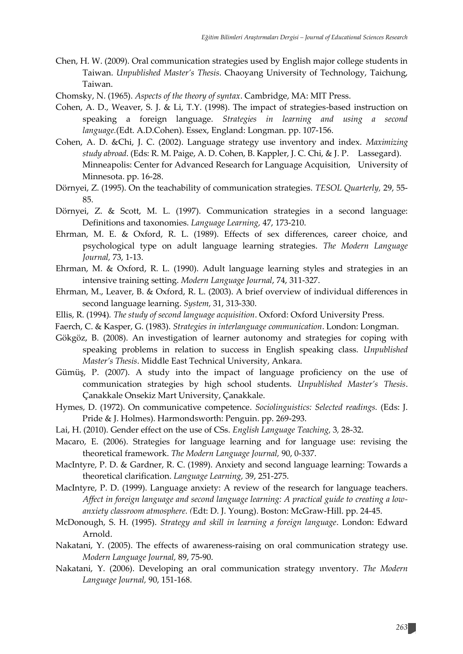- Chen, H. W. (2009). Oral communication strategies used by English major college students in Taiwan. *Unpublished Master's Thesis*. Chaoyang University of Technology, Taichung, Taiwan.
- Chomsky, N. (1965). *Aspects of the theory of syntax*. Cambridge, MA: MIT Press.
- Cohen, A. D., Weaver, S. J. & Li, T.Y. (1998). The impact of strategies-based instruction on speaking a foreign language. *Strategies in learning and using a second language.*(Edt. A.D.Cohen). Essex, England: Longman. pp. 107-156.
- Cohen, A. D. &Chi, J. C. (2002). Language strategy use inventory and index. *Maximizing study abroad*. (Eds: R. M. Paige, A. D. Cohen, B. Kappler, J. C. Chi, & J. P. Lassegard). Minneapolis: Center for Advanced Research for Language Acquisition, University of Minnesota. pp. 16-28.
- Dörnyei, Z. (1995). On the teachability of communication strategies. *TESOL Quarterly,* 29, 55- 85.
- Dörnyei, Z. & Scott, M. L. (1997). Communication strategies in a second language: Definitions and taxonomies. *Language Learning,* 47, 173-210.
- Ehrman, M. E. & Oxford, R. L. (1989). Effects of sex differences, career choice, and psychological type on adult language learning strategies. *The Modern Language Journal,* 73, 1-13.
- Ehrman, M. & Oxford, R. L. (1990). Adult language learning styles and strategies in an intensive training setting. *Modern Language Journal*, 74, 311-327.
- Ehrman, M., Leaver, B. & Oxford, R. L. (2003). A brief overview of individual differences in second language learning. *System,* 31, 313-330.
- Ellis, R. (1994)*. The study of second language acquisition*. Oxford: Oxford University Press.
- Faerch, C. & Kasper, G. (1983). *Strategies in interlanguage communication*. London: Longman.
- Gökgöz, B. (2008). An investigation of learner autonomy and strategies for coping with speaking problems in relation to success in English speaking class. *Unpublished Master's Thesis*. Middle East Technical University, Ankara.
- Gümüş, P. (2007). A study into the impact of language proficiency on the use of communication strategies by high school students. *Unpublished Master's Thesis*. Çanakkale Onsekiz Mart University, Çanakkale.
- Hymes, D. (1972). On communicative competence. *Sociolinguistics: Selected readings.* (Eds: J. Pride & J. Holmes). Harmondsworth: Penguin. pp. 269-293.
- Lai, H. (2010). Gender effect on the use of CSs. *English Language Teaching,* 3*,* 28-32.
- Macaro, E. (2006). Strategies for language learning and for language use: revising the theoretical framework. *The Modern Language Journal,* 90, 0-337.
- MacIntyre, P. D. & Gardner, R. C. (1989). Anxiety and second language learning: Towards a theoretical clarification. *Language Learning,* 39, 251-275.
- MacIntyre, P. D. (1999). Language anxiety: A review of the research for language teachers. *Affect in foreign language and second language learning: A practical guide to creating a lowanxiety classroom atmosphere. (*Edt: D. J. Young). Boston: McGraw-Hill. pp. 24-45.
- McDonough, S. H. (1995). *Strategy and skill in learning a foreign language*. London: Edward Arnold.
- Nakatani, Y. (2005). The effects of awareness-raising on oral communication strategy use. *Modern Language Journal,* 89, 75-90.
- Nakatani, Y. (2006). Developing an oral communication strategy ınventory. *The Modern Language Journal,* 90, 151-168.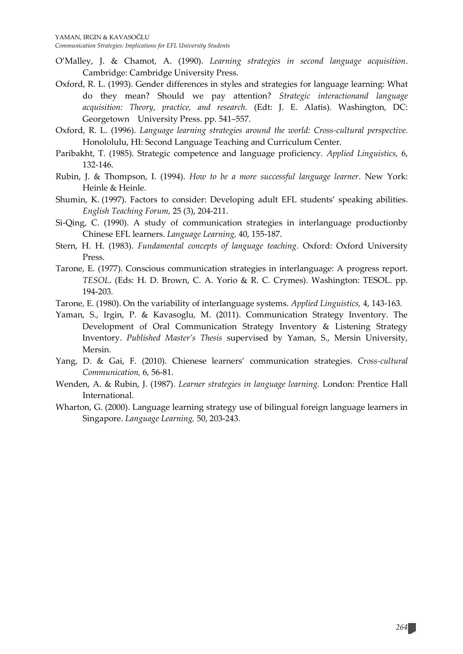- O'Malley, J. & Chamot, A. (1990). *Learning strategies in second language acquisition*. Cambridge: Cambridge University Press.
- Oxford, R. L. (1993). Gender differences in styles and strategies for language learning: What do they mean? Should we pay attention? *Strategic interactionand language acquisition: Theory, practice, and research.* (Edt: J. E. Alatis). Washington, DC: Georgetown University Press. pp. 541–557.
- Oxford, R. L. (1996). *Language learning strategies around the world: Cross-cultural perspective.* Honololulu, HI: Second Language Teaching and Curriculum Center.
- Paribakht, T. (1985). Strategic competence and language proficiency. *Applied Linguistics,* 6, 132-146.
- Rubin, J. & Thompson, I. (1994). *How to be a more successful language learner*. New York: Heinle & Heinle.
- Shumin, K. (1997). Factors to consider: Developing adult EFL students' speaking abilities. *English Teaching Forum,* 25 (3), 204-211.
- Si-Qing, C. (1990). A study of communication strategies in interlanguage productionby Chinese EFL learners. *Language Learning,* 40, 155-187.
- Stern, H. H. (1983). *Fundamental concepts of language teaching*. Oxford: Oxford University Press.
- Tarone, E. (1977). Conscious communication strategies in interlanguage: A progress report. *TESOL*. (Eds: H. D. Brown, C. A. Yorio & R. C. Crymes). Washington: TESOL. pp. 194-203.
- Tarone, E. (1980). On the variability of interlanguage systems. *Applied Linguistics,* 4, 143-163.
- Yaman, S., Irgin, P. & Kavasoglu, M. (2011). Communication Strategy Inventory. The Development of Oral Communication Strategy Inventory & Listening Strategy Inventory. *Published Master's Thesis* supervised by Yaman, S., Mersin University, Mersin.
- Yang, D. & Gai, F. (2010). Chienese learners' communication strategies. *Cross-cultural Communication,* 6, 56-81.
- Wenden, A. & Rubin, J. (1987). *Learner strategies in language learning.* London: Prentice Hall International.
- Wharton, G. (2000). Language learning strategy use of bilingual foreign language learners in Singapore. *Language Learning,* 50, 203-243.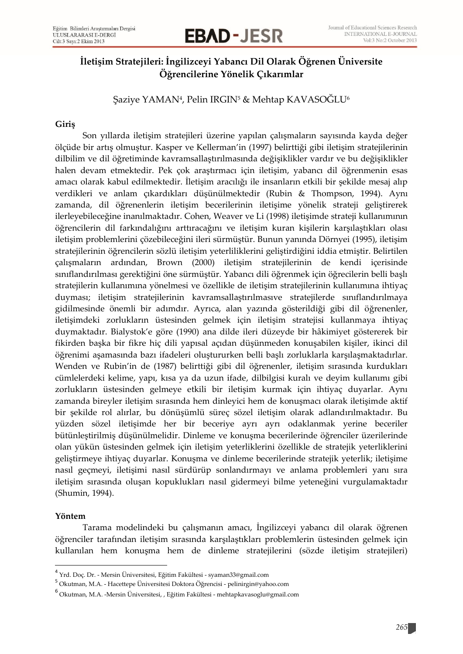## **EBAD – JESR** MERNATIONAL E-JOURNAL PROPERTY VOLTS No.2 October 2013

### **İletişim Stratejileri: İngilizceyi Yabancı Dil Olarak Öğrenen Üniversite Öğrencilerine Yönelik Çıkarımlar**

Şaziye YAMAN<sup>4</sup> , Pelin IRGIN<sup>5</sup> & Mehtap KAVASOĞLU<sup>6</sup>

#### **Giriş**

Son yıllarda iletişim stratejileri üzerine yapılan çalışmaların sayısında kayda değer ölçüde bir artış olmuştur. Kasper ve Kellerman'in (1997) belirttiği gibi iletişim stratejilerinin dilbilim ve dil öğretiminde kavramsallaştırılmasında değişiklikler vardır ve bu değişiklikler halen devam etmektedir. Pek çok araştırmacı için iletişim, yabancı dil öğrenmenin esas amacı olarak kabul edilmektedir. İletişim aracılığı ile insanların etkili bir şekilde mesaj alıp verdikleri ve anlam çıkardıkları düşünülmektedir (Rubin & Thompson, 1994). Aynı zamanda, dil öğrenenlerin iletişim becerilerinin iletişime yönelik strateji geliştirerek ilerleyebileceğine inanılmaktadır. Cohen, Weaver ve Li (1998) iletişimde strateji kullanımının öğrencilerin dil farkındalığını arttıracağını ve iletişim kuran kişilerin karşılaştıkları olası iletişim problemlerini çözebileceğini ileri sürmüştür. Bunun yanında Dörnyei (1995), iletişim stratejilerinin öğrencilerin sözlü iletişim yeterliliklerini geliştirdiğini iddia etmiştir. Belirtilen çalışmaların ardından, Brown (2000) iletişim stratejilerinin de kendi içerisinde sınıflandırılması gerektiğini öne sürmüştür. Yabancı dili öğrenmek için öğrecilerin belli başlı stratejilerin kullanımına yönelmesi ve özellikle de iletişim stratejilerinin kullanımına ihtiyaç duyması; iletişim stratejilerinin kavramsallaştırılmasıve stratejilerde sınıflandırılmaya gidilmesinde önemli bir adımdır. Ayrıca, alan yazında gösterildiği gibi dil öğrenenler, iletişimdeki zorlukların üstesinden gelmek için iletişim stratejisi kullanmaya ihtiyaç duymaktadır. Bialystok'e göre (1990) ana dilde ileri düzeyde bir hâkimiyet göstererek bir fikirden başka bir fikre hiç dili yapısal açıdan düşünmeden konuşabilen kişiler, ikinci dil öğrenimi aşamasında bazı ifadeleri oluştururken belli başlı zorluklarla karşılaşmaktadırlar. Wenden ve Rubin'in de (1987) belirttiği gibi dil öğrenenler, iletişim sırasında kurdukları cümlelerdeki kelime, yapı, kısa ya da uzun ifade, dilbilgisi kuralı ve deyim kullanımı gibi zorlukların üstesinden gelmeye etkili bir iletişim kurmak için ihtiyaç duyarlar. Aynı zamanda bireyler iletişim sırasında hem dinleyici hem de konuşmacı olarak iletişimde aktif bir şekilde rol alırlar, bu dönüşümlü süreç sözel iletişim olarak adlandırılmaktadır. Bu yüzden sözel iletişimde her bir beceriye ayrı ayrı odaklanmak yerine beceriler bütünleştirilmiş düşünülmelidir. Dinleme ve konuşma becerilerinde öğrenciler üzerilerinde olan yükün üstesinden gelmek için iletişim yeterliklerini özellikle de stratejik yeterliklerini geliştirmeye ihtiyaç duyarlar. Konuşma ve dinleme becerilerinde stratejik yeterlik; iletişime nasıl geçmeyi, iletişimi nasıl sürdürüp sonlandırmayı ve anlama problemleri yanı sıra iletişim sırasında oluşan kopuklukları nasıl gidermeyi bilme yeteneğini vurgulamaktadır (Shumin, 1994).

#### **Yöntem**

l

Tarama modelindeki bu çalışmanın amacı, İngilizceyi yabancı dil olarak öğrenen öğrenciler tarafından iletişim sırasında karşılaştıkları problemlerin üstesinden gelmek için kullanılan hem konuşma hem de dinleme stratejilerini (sözde iletişim stratejileri)

<sup>4</sup> Yrd. Doç. Dr. - Mersin Üniversitesi, Eğitim Fakültesi - syaman33@gmail.com

<sup>&</sup>lt;sup>5</sup> Okutman, M.A. - Hacettepe Üniversitesi Doktora Öğrencisi - pelinirgin@yahoo.com

<sup>6</sup> Okutman, M.A. -Mersin Üniversitesi, , Eğitim Fakültesi - mehtapkavasoglu@gmail.com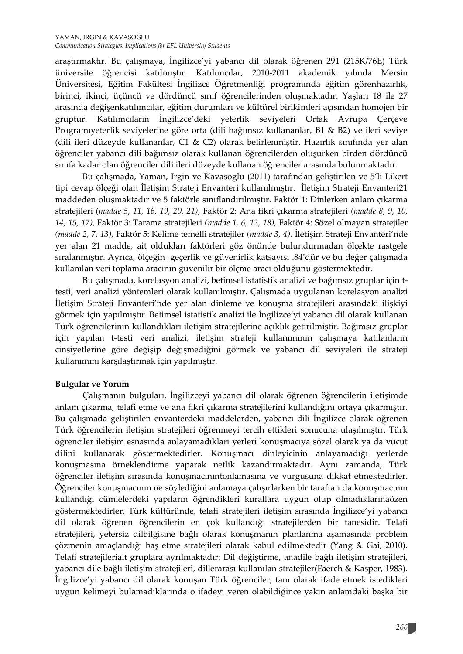araştırmaktır. Bu çalışmaya, İngilizce'yi yabancı dil olarak öğrenen 291 (215K/76E) Türk üniversite öğrencisi katılmıştır. Katılımcılar, 2010-2011 akademik yılında Mersin Üniversitesi, Eğitim Fakültesi İngilizce Öğretmenliği programında eğitim görenhazırlık, birinci, ikinci, üçüncü ve dördüncü sınıf öğrencilerinden oluşmaktadır. Yaşları 18 ile 27 arasında değişenkatılımcılar, eğitim durumları ve kültürel birikimleri açısından homojen bir gruptur. Katılımcıların İngilizce'deki yeterlik seviyeleri Ortak Avrupa Çerçeve Programıyeterlik seviyelerine göre orta (dili bağımsız kullananlar, B1 & B2) ve ileri seviye (dili ileri düzeyde kullananlar, C1 & C2) olarak belirlenmiştir. Hazırlık sınıfında yer alan öğrenciler yabancı dili bağımsız olarak kullanan öğrencilerden oluşurken birden dördüncü sınıfa kadar olan öğrenciler dili ileri düzeyde kullanan öğrenciler arasında bulunmaktadır.

Bu çalışmada, Yaman, Irgin ve Kavasoglu (2011) tarafından geliştirilen ve 5'li Likert tipi cevap ölçeği olan İletişim Strateji Envanteri kullanılmıştır. İletişim Strateji Envanteri21 maddeden oluşmaktadır ve 5 faktörle sınıflandırılmıştır. Faktör 1: Dinlerken anlam çıkarma stratejileri (*madde 5, 11, 16, 19, 20, 21)*, Faktör 2: Ana fikri çıkarma stratejileri *(madde 8, 9, 10, 14, 15, 17),* Faktör 3: Tarama stratejileri *(madde 1, 6, 12, 18),* Faktör 4: Sözel olmayan stratejiler *(madde 2, 7, 13),* Faktör 5: Kelime temelli stratejiler *(madde 3, 4).* İletişim Strateji Envanteri'nde yer alan 21 madde, ait oldukları faktörleri göz önünde bulundurmadan ölçekte rastgele sıralanmıştır. Ayrıca, ölçeğin geçerlik ve güvenirlik katsayısı .84'dür ve bu değer çalışmada kullanılan veri toplama aracının güvenilir bir ölçme aracı olduğunu göstermektedir.

Bu çalışmada, korelasyon analizi, betimsel istatistik analizi ve bağımsız gruplar için ttesti, veri analizi yöntemleri olarak kullanılmıştır. Çalışmada uygulanan korelasyon analizi İletişim Strateji Envanteri'nde yer alan dinleme ve konuşma stratejileri arasındaki ilişkiyi görmek için yapılmıştır. Betimsel istatistik analizi ile İngilizce'yi yabancı dil olarak kullanan Türk öğrencilerinin kullandıkları iletişim stratejilerine açıklık getirilmiştir. Bağımsız gruplar için yapılan t-testi veri analizi, iletişim strateji kullanımının çalışmaya katılanların cinsiyetlerine göre değişip değişmediğini görmek ve yabancı dil seviyeleri ile strateji kullanımını karşılaştırmak için yapılmıştır.

#### **Bulgular ve Yorum**

Çalışmanın bulguları, İngilizceyi yabancı dil olarak öğrenen öğrencilerin iletişimde anlam çıkarma, telafi etme ve ana fikri çıkarma stratejilerini kullandığını ortaya çıkarmıştır. Bu çalışmada geliştirilen envanterdeki maddelerden, yabancı dili İngilizce olarak öğrenen Türk öğrencilerin iletişim stratejileri öğrenmeyi tercih ettikleri sonucuna ulaşılmıştır. Türk öğrenciler iletişim esnasında anlayamadıkları yerleri konuşmacıya sözel olarak ya da vücut dilini kullanarak göstermektedirler. Konuşmacı dinleyicinin anlayamadığı yerlerde konuşmasına örneklendirme yaparak netlik kazandırmaktadır. Aynı zamanda, Türk öğrenciler iletişim sırasında konuşmacınıntonlamasına ve vurgusuna dikkat etmektedirler. Öğrenciler konuşmacının ne söylediğini anlamaya çalışırlarken bir taraftan da konuşmacının kullandığı cümlelerdeki yapıların öğrendikleri kurallara uygun olup olmadıklarınaözen göstermektedirler. Türk kültüründe, telafi stratejileri iletişim sırasında İngilizce'yi yabancı dil olarak öğrenen öğrencilerin en çok kullandığı stratejilerden bir tanesidir. Telafi stratejileri, yetersiz dilbilgisine bağlı olarak konuşmanın planlanma aşamasında problem çözmenin amaçlandığı baş etme stratejileri olarak kabul edilmektedir (Yang & Gai, 2010). Telafi stratejilerialt gruplara ayrılmaktadır: Dil değiştirme, anadile bağlı iletişim stratejileri, yabancı dile bağlı iletişim stratejileri, dillerarası kullanılan stratejiler(Faerch & Kasper, 1983). İngilizce'yi yabancı dil olarak konuşan Türk öğrenciler, tam olarak ifade etmek istedikleri uygun kelimeyi bulamadıklarında o ifadeyi veren olabildiğince yakın anlamdaki başka bir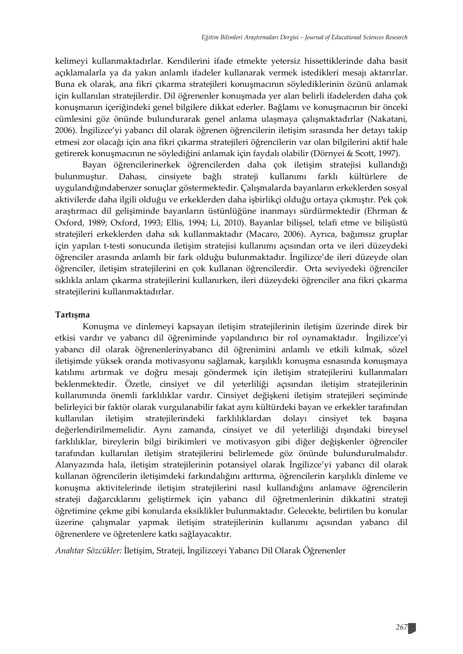kelimeyi kullanmaktadırlar. Kendilerini ifade etmekte yetersiz hissettiklerinde daha basit açıklamalarla ya da yakın anlamlı ifadeler kullanarak vermek istedikleri mesajı aktarırlar. Buna ek olarak, ana fikri çıkarma stratejileri konuşmacının söylediklerinin özünü anlamak için kullanılan stratejilerdir. Dil öğrenenler konuşmada yer alan belirli ifadelerden daha çok konuşmanın içeriğindeki genel bilgilere dikkat ederler. Bağlamı ve konuşmacının bir önceki cümlesini göz önünde bulundurarak genel anlama ulaşmaya çalışmaktadırlar (Nakatani, 2006). İngilizce'yi yabancı dil olarak öğrenen öğrencilerin iletişim sırasında her detayı takip etmesi zor olacağı için ana fikri çıkarma stratejileri öğrencilerin var olan bilgilerini aktif hale getirerek konuşmacının ne söylediğini anlamak için faydalı olabilir (Dörnyei & Scott, 1997).

Bayan öğrencilerinerkek öğrencilerden daha çok iletişim stratejisi kullandığı bulunmuştur. Dahası, cinsiyete bağlı strateji kullanımı farklı kültürlere de uygulandığındabenzer sonuçlar göstermektedir. Çalışmalarda bayanların erkeklerden sosyal aktivilerde daha ilgili olduğu ve erkeklerden daha işbirlikçi olduğu ortaya çıkmıştır. Pek çok araştırmacı dil gelişiminde bayanların üstünlüğüne inanmayı sürdürmektedir (Ehrman & Oxford, 1989; Oxford, 1993; Ellis, 1994; Li, 2010). Bayanlar bilişsel, telafi etme ve bilişüstü stratejileri erkeklerden daha sık kullanmaktadır (Macaro, 2006). Ayrıca, bağımsız gruplar için yapılan t-testi sonucunda iletişim stratejisi kullanımı açısından orta ve ileri düzeydeki öğrenciler arasında anlamlı bir fark olduğu bulunmaktadır. İngilizce'de ileri düzeyde olan öğrenciler, iletişim stratejilerini en çok kullanan öğrencilerdir. Orta seviyedeki öğrenciler sıklıkla anlam çıkarma stratejilerini kullanırken, ileri düzeydeki öğrenciler ana fikri çıkarma stratejilerini kullanmaktadırlar.

#### **Tartışma**

Konuşma ve dinlemeyi kapsayan iletişim stratejilerinin iletişim üzerinde direk bir etkisi vardır ve yabancı dil öğreniminde yapılandırıcı bir rol oynamaktadır. İngilizce'yi yabancı dil olarak öğrenenlerinyabancı dil öğrenimini anlamlı ve etkili kılmak, sözel iletişimde yüksek oranda motivasyonu sağlamak, karşılıklı konuşma esnasında konuşmaya katılımı artırmak ve doğru mesajı göndermek için iletişim stratejilerini kullanmaları beklenmektedir. Özetle, cinsiyet ve dil yeterliliği açısından iletişim stratejilerinin kullanımında önemli farklılıklar vardır. Cinsiyet değişkeni iletişim stratejileri seçiminde belirleyici bir faktör olarak vurgulanabilir fakat aynı kültürdeki bayan ve erkekler tarafından kullanılan iletişim stratejilerindeki farklılıklardan dolayı cinsiyet tek başına değerlendirilmemelidir. Aynı zamanda, cinsiyet ve dil yeterliliği dışındaki bireysel farklılıklar, bireylerin bilgi birikimleri ve motivasyon gibi diğer değişkenler öğrenciler tarafından kullanılan iletişim stratejilerini belirlemede göz önünde bulundurulmalıdır. Alanyazında hala, iletişim stratejilerinin potansiyel olarak İngilizce'yi yabancı dil olarak kullanan öğrencilerin iletişimdeki farkındalığını arttırma, öğrencilerin karşılıklı dinleme ve konuşma aktivitelerinde iletişim stratejilerini nasıl kullandığını anlamave öğrencilerin strateji dağarcıklarını geliştirmek için yabancı dil öğretmenlerinin dikkatini strateji öğretimine çekme gibi konularda eksiklikler bulunmaktadır. Gelecekte, belirtilen bu konular üzerine çalışmalar yapmak iletişim stratejilerinin kullanımı açısından yabancı dil öğrenenlere ve öğretenlere katkı sağlayacaktır.

*Anahtar Sözcükler:* İletişim, Strateji, İngilizceyi Yabancı Dil Olarak Öğrenenler